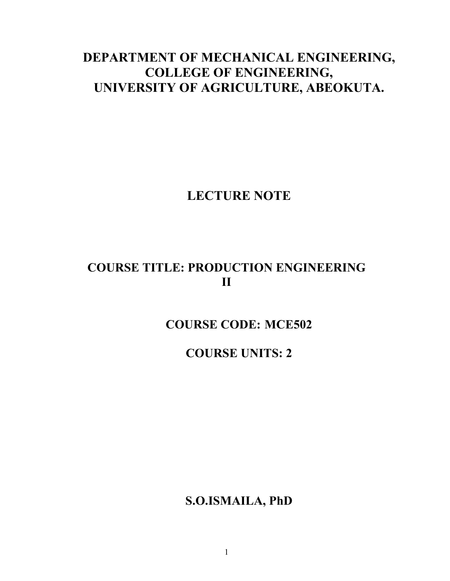# **DEPARTMENT OF MECHANICAL ENGINEERING, COLLEGE OF ENGINEERING, UNIVERSITY OF AGRICULTURE, ABEOKUTA.**

# **LECTURE NOTE**

# **COURSE TITLE: PRODUCTION ENGINEERING II**

# **COURSE CODE: MCE502**

**COURSE UNITS: 2** 

**S.O.ISMAILA, PhD**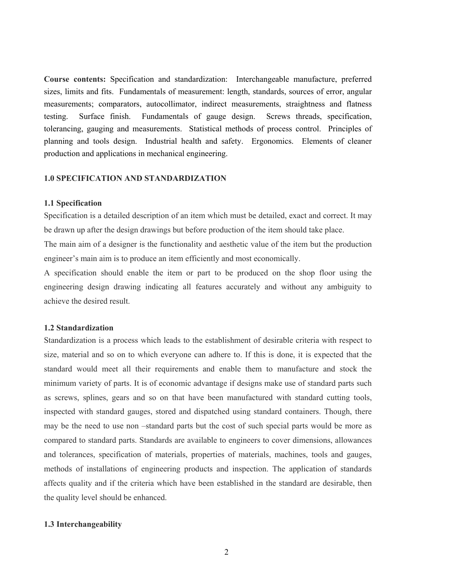**Course contents:** Specification and standardization: Interchangeable manufacture, preferred sizes, limits and fits. Fundamentals of measurement: length, standards, sources of error, angular measurements; comparators, autocollimator, indirect measurements, straightness and flatness testing. Surface finish. Fundamentals of gauge design. Screws threads, specification, tolerancing, gauging and measurements. Statistical methods of process control. Principles of planning and tools design. Industrial health and safety. Ergonomics. Elements of cleaner production and applications in mechanical engineering.

## **1.0 SPECIFICATION AND STANDARDIZATION**

#### **1.1 Specification**

Specification is a detailed description of an item which must be detailed, exact and correct. It may be drawn up after the design drawings but before production of the item should take place.

The main aim of a designer is the functionality and aesthetic value of the item but the production engineer's main aim is to produce an item efficiently and most economically.

A specification should enable the item or part to be produced on the shop floor using the engineering design drawing indicating all features accurately and without any ambiguity to achieve the desired result.

#### **1.2 Standardization**

Standardization is a process which leads to the establishment of desirable criteria with respect to size, material and so on to which everyone can adhere to. If this is done, it is expected that the standard would meet all their requirements and enable them to manufacture and stock the minimum variety of parts. It is of economic advantage if designs make use of standard parts such as screws, splines, gears and so on that have been manufactured with standard cutting tools, inspected with standard gauges, stored and dispatched using standard containers. Though, there may be the need to use non –standard parts but the cost of such special parts would be more as compared to standard parts. Standards are available to engineers to cover dimensions, allowances and tolerances, specification of materials, properties of materials, machines, tools and gauges, methods of installations of engineering products and inspection. The application of standards affects quality and if the criteria which have been established in the standard are desirable, then the quality level should be enhanced.

#### **1.3 Interchangeability**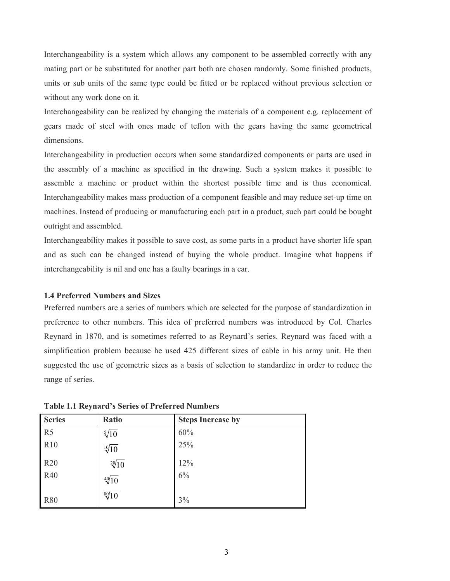Interchangeability is a system which allows any component to be assembled correctly with any mating part or be substituted for another part both are chosen randomly. Some finished products, units or sub units of the same type could be fitted or be replaced without previous selection or without any work done on it.

Interchangeability can be realized by changing the materials of a component e.g. replacement of gears made of steel with ones made of teflon with the gears having the same geometrical dimensions.

Interchangeability in production occurs when some standardized components or parts are used in the assembly of a machine as specified in the drawing. Such a system makes it possible to assemble a machine or product within the shortest possible time and is thus economical. Interchangeability makes mass production of a component feasible and may reduce set-up time on machines. Instead of producing or manufacturing each part in a product, such part could be bought outright and assembled.

Interchangeability makes it possible to save cost, as some parts in a product have shorter life span and as such can be changed instead of buying the whole product. Imagine what happens if interchangeability is nil and one has a faulty bearings in a car.

#### **1.4 Preferred Numbers and Sizes**

Preferred numbers are a series of numbers which are selected for the purpose of standardization in preference to other numbers. This idea of preferred numbers was introduced by Col. Charles Reynard in 1870, and is sometimes referred to as Reynard's series. Reynard was faced with a simplification problem because he used 425 different sizes of cable in his army unit. He then suggested the use of geometric sizes as a basis of selection to standardize in order to reduce the range of series.

| <b>Series</b>   | <b>Ratio</b>    | <b>Steps Increase by</b> |
|-----------------|-----------------|--------------------------|
| R <sub>5</sub>  | $\sqrt[5]{10}$  | 60%                      |
| R10             | $\sqrt[10]{10}$ | 25%                      |
| R <sub>20</sub> | $\sqrt[20]{10}$ | 12%                      |
| R40             | $\sqrt[40]{10}$ | 6%                       |
| <b>R80</b>      | $\sqrt[80]{10}$ | 3%                       |

**Table 1.1 Reynard's Series of Preferred Numbers**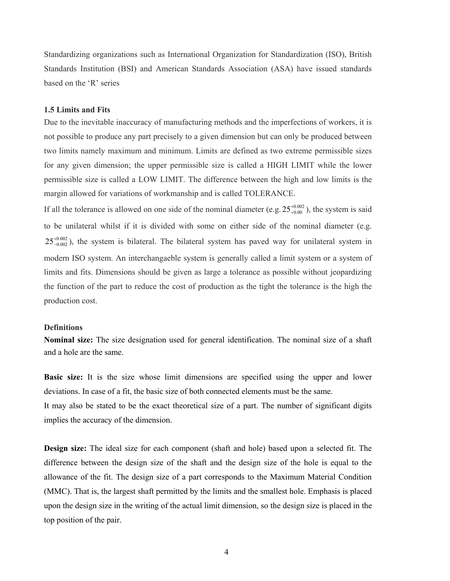Standardizing organizations such as International Organization for Standardization (ISO), British Standards Institution (BSI) and American Standards Association (ASA) have issued standards based on the 'R' series

## **1.5 Limits and Fits**

Due to the inevitable inaccuracy of manufacturing methods and the imperfections of workers, it is not possible to produce any part precisely to a given dimension but can only be produced between two limits namely maximum and minimum. Limits are defined as two extreme permissible sizes for any given dimension; the upper permissible size is called a HIGH LIMIT while the lower permissible size is called a LOW LIMIT. The difference between the high and low limits is the margin allowed for variations of workmanship and is called TOLERANCE.

If all the tolerance is allowed on one side of the nominal diameter (e.g.  $25^{+0.002}_{+0.00}$ ), the system is said to be unilateral whilst if it is divided with some on either side of the nominal diameter (e.g.  $25^{+0.002}_{-0.002}$ ), the system is bilateral. The bilateral system has paved way for unilateral system in modern ISO system. An interchangaeble system is generally called a limit system or a system of limits and fits. Dimensions should be given as large a tolerance as possible without jeopardizing the function of the part to reduce the cost of production as the tight the tolerance is the high the production cost.

## **Definitions**

**Nominal size:** The size designation used for general identification. The nominal size of a shaft and a hole are the same.

**Basic size:** It is the size whose limit dimensions are specified using the upper and lower deviations. In case of a fit, the basic size of both connected elements must be the same. It may also be stated to be the exact theoretical size of a part. The number of significant digits implies the accuracy of the dimension.

**Design size:** The ideal size for each component (shaft and hole) based upon a selected fit. The difference between the design size of the shaft and the design size of the hole is equal to the allowance of the fit. The design size of a part corresponds to the Maximum Material Condition (MMC). That is, the largest shaft permitted by the limits and the smallest hole. Emphasis is placed upon the design size in the writing of the actual limit dimension, so the design size is placed in the top position of the pair.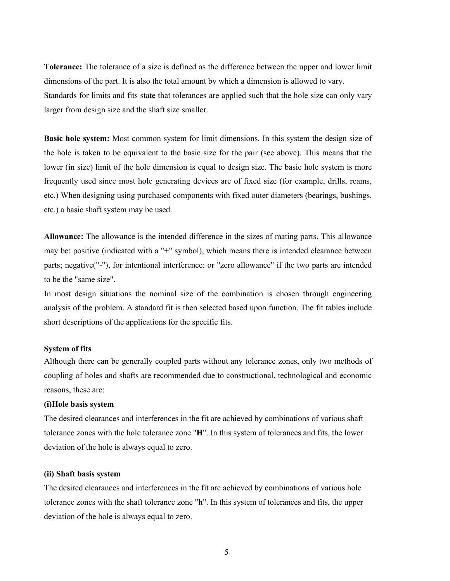**Tolerance:** The tolerance of a size is defined as the difference between the upper and lower limit dimensions of the part. It is also the total amount by which a dimension is allowed to vary. Standards for limits and fits state that tolerances are applied such that the hole size can only vary larger from design size and the shaft size smaller.

**Basic hole system:** Most common system for limit dimensions. In this system the design size of the hole is taken to be equivalent to the basic size for the pair (see above). This means that the lower (in size) limit of the hole dimension is equal to design size. The basic hole system is more frequently used since most hole generating devices are of fixed size (for example, drills, reams, etc.) When designing using purchased components with fixed outer diameters (bearings, bushings, etc.) a basic shaft system may be used.

**Allowance:** The allowance is the intended difference in the sizes of mating parts. This allowance may be: positive (indicated with a "+" symbol), which means there is intended clearance between parts; negative("-"), for intentional interference: or "zero allowance" if the two parts are intended to be the "same size".

In most design situations the nominal size of the combination is chosen through engineering analysis of the problem. A standard fit is then selected based upon function. The fit tables include short descriptions of the applications for the specific fits.

#### **System of fits**

Although there can be generally coupled parts without any tolerance zones, only two methods of coupling of holes and shafts are recommended due to constructional, technological and economic reasons, these are:

#### **(i)Hole basis system**

The desired clearances and interferences in the fit are achieved by combinations of various shaft tolerance zones with the hole tolerance zone "**H**". In this system of tolerances and fits, the lower deviation of the hole is always equal to zero.

## **(ii) Shaft basis system**

The desired clearances and interferences in the fit are achieved by combinations of various hole tolerance zones with the shaft tolerance zone "**h**". In this system of tolerances and fits, the upper deviation of the hole is always equal to zero.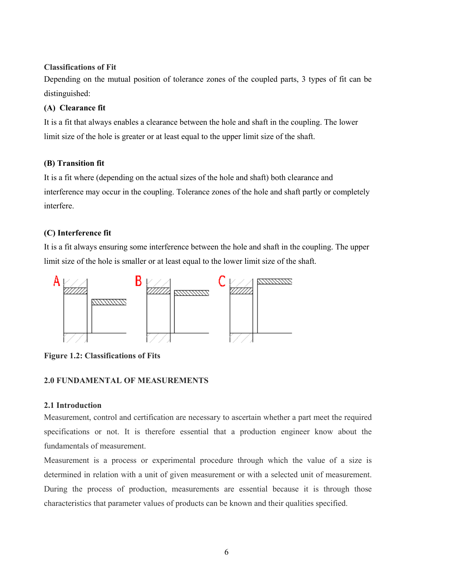# **Classifications of Fit**

Depending on the mutual position of tolerance zones of the coupled parts, 3 types of fit can be distinguished:

# **(A) Clearance fit**

It is a fit that always enables a clearance between the hole and shaft in the coupling. The lower limit size of the hole is greater or at least equal to the upper limit size of the shaft.

# **(B) Transition fit**

It is a fit where (depending on the actual sizes of the hole and shaft) both clearance and interference may occur in the coupling. Tolerance zones of the hole and shaft partly or completely interfere.

# **(C) Interference fit**

It is a fit always ensuring some interference between the hole and shaft in the coupling. The upper limit size of the hole is smaller or at least equal to the lower limit size of the shaft.



**Figure 1.2: Classifications of Fits** 

# **2.0 FUNDAMENTAL OF MEASUREMENTS**

# **2.1 Introduction**

Measurement, control and certification are necessary to ascertain whether a part meet the required specifications or not. It is therefore essential that a production engineer know about the fundamentals of measurement.

Measurement is a process or experimental procedure through which the value of a size is determined in relation with a unit of given measurement or with a selected unit of measurement. During the process of production, measurements are essential because it is through those characteristics that parameter values of products can be known and their qualities specified.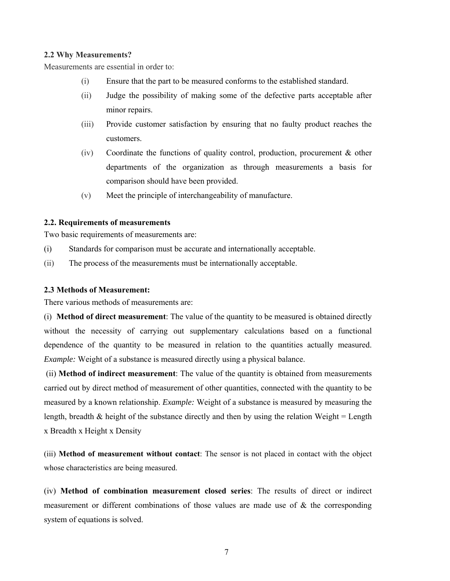## **2.2 Why Measurements?**

Measurements are essential in order to:

- (i) Ensure that the part to be measured conforms to the established standard.
- (ii) Judge the possibility of making some of the defective parts acceptable after minor repairs.
- (iii) Provide customer satisfaction by ensuring that no faulty product reaches the customers.
- (iv) Coordinate the functions of quality control, production, procurement  $\&$  other departments of the organization as through measurements a basis for comparison should have been provided.
- (v) Meet the principle of interchangeability of manufacture.

## **2.2. Requirements of measurements**

Two basic requirements of measurements are:

- (i) Standards for comparison must be accurate and internationally acceptable.
- (ii) The process of the measurements must be internationally acceptable.

# **2.3 Methods of Measurement:**

There various methods of measurements are:

(i) **Method of direct measurement**: The value of the quantity to be measured is obtained directly without the necessity of carrying out supplementary calculations based on a functional dependence of the quantity to be measured in relation to the quantities actually measured. *Example:* Weight of a substance is measured directly using a physical balance.

 (ii) **Method of indirect measurement**: The value of the quantity is obtained from measurements carried out by direct method of measurement of other quantities, connected with the quantity to be measured by a known relationship. *Example:* Weight of a substance is measured by measuring the length, breadth  $\&$  height of the substance directly and then by using the relation Weight = Length x Breadth x Height x Density

(iii) **Method of measurement without contact**: The sensor is not placed in contact with the object whose characteristics are being measured.

(iv) **Method of combination measurement closed series**: The results of direct or indirect measurement or different combinations of those values are made use of  $\&$  the corresponding system of equations is solved.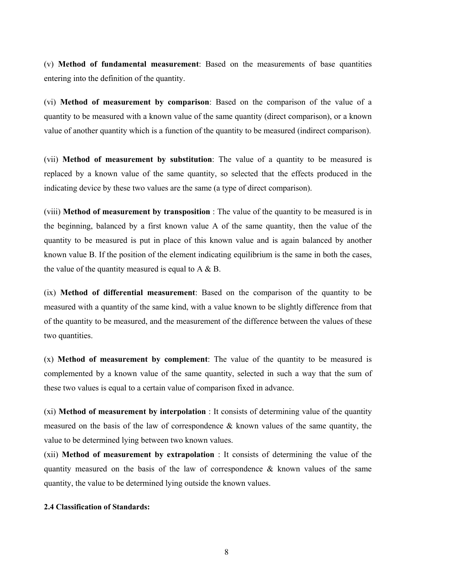(v) **Method of fundamental measurement**: Based on the measurements of base quantities entering into the definition of the quantity.

(vi) **Method of measurement by comparison**: Based on the comparison of the value of a quantity to be measured with a known value of the same quantity (direct comparison), or a known value of another quantity which is a function of the quantity to be measured (indirect comparison).

(vii) **Method of measurement by substitution**: The value of a quantity to be measured is replaced by a known value of the same quantity, so selected that the effects produced in the indicating device by these two values are the same (a type of direct comparison).

(viii) **Method of measurement by transposition** : The value of the quantity to be measured is in the beginning, balanced by a first known value A of the same quantity, then the value of the quantity to be measured is put in place of this known value and is again balanced by another known value B. If the position of the element indicating equilibrium is the same in both the cases, the value of the quantity measured is equal to  $A \& B$ .

(ix) **Method of differential measurement**: Based on the comparison of the quantity to be measured with a quantity of the same kind, with a value known to be slightly difference from that of the quantity to be measured, and the measurement of the difference between the values of these two quantities.

(x) **Method of measurement by complement**: The value of the quantity to be measured is complemented by a known value of the same quantity, selected in such a way that the sum of these two values is equal to a certain value of comparison fixed in advance.

(xi) **Method of measurement by interpolation** : It consists of determining value of the quantity measured on the basis of the law of correspondence  $\&$  known values of the same quantity, the value to be determined lying between two known values.

(xii) **Method of measurement by extrapolation** : It consists of determining the value of the quantity measured on the basis of the law of correspondence  $\&$  known values of the same quantity, the value to be determined lying outside the known values.

#### **2.4 Classification of Standards:**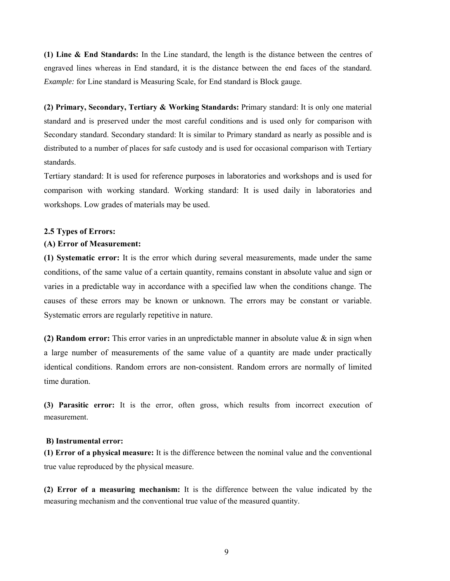**(1) Line & End Standards:** In the Line standard, the length is the distance between the centres of engraved lines whereas in End standard, it is the distance between the end faces of the standard. *Example:* for Line standard is Measuring Scale, for End standard is Block gauge.

**(2) Primary, Secondary, Tertiary & Working Standards:** Primary standard: It is only one material standard and is preserved under the most careful conditions and is used only for comparison with Secondary standard. Secondary standard: It is similar to Primary standard as nearly as possible and is distributed to a number of places for safe custody and is used for occasional comparison with Tertiary standards.

Tertiary standard: It is used for reference purposes in laboratories and workshops and is used for comparison with working standard. Working standard: It is used daily in laboratories and workshops. Low grades of materials may be used.

## **2.5 Types of Errors:**

#### **(A) Error of Measurement:**

**(1) Systematic error:** It is the error which during several measurements, made under the same conditions, of the same value of a certain quantity, remains constant in absolute value and sign or varies in a predictable way in accordance with a specified law when the conditions change. The causes of these errors may be known or unknown. The errors may be constant or variable. Systematic errors are regularly repetitive in nature.

**(2) Random error:** This error varies in an unpredictable manner in absolute value & in sign when a large number of measurements of the same value of a quantity are made under practically identical conditions. Random errors are non-consistent. Random errors are normally of limited time duration.

**(3) Parasitic error:** It is the error, often gross, which results from incorrect execution of measurement.

#### **B) Instrumental error:**

**(1) Error of a physical measure:** It is the difference between the nominal value and the conventional true value reproduced by the physical measure.

**(2) Error of a measuring mechanism:** It is the difference between the value indicated by the measuring mechanism and the conventional true value of the measured quantity.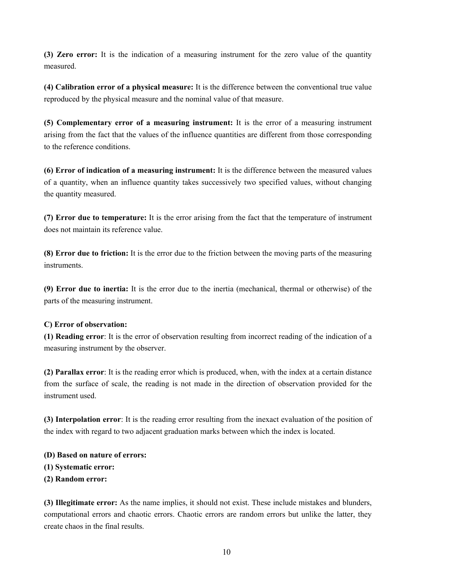**(3) Zero error:** It is the indication of a measuring instrument for the zero value of the quantity measured.

**(4) Calibration error of a physical measure:** It is the difference between the conventional true value reproduced by the physical measure and the nominal value of that measure.

**(5) Complementary error of a measuring instrument:** It is the error of a measuring instrument arising from the fact that the values of the influence quantities are different from those corresponding to the reference conditions.

**(6) Error of indication of a measuring instrument:** It is the difference between the measured values of a quantity, when an influence quantity takes successively two specified values, without changing the quantity measured.

**(7) Error due to temperature:** It is the error arising from the fact that the temperature of instrument does not maintain its reference value.

**(8) Error due to friction:** It is the error due to the friction between the moving parts of the measuring instruments.

**(9) Error due to inertia:** It is the error due to the inertia (mechanical, thermal or otherwise) of the parts of the measuring instrument.

# **C) Error of observation:**

**(1) Reading error**: It is the error of observation resulting from incorrect reading of the indication of a measuring instrument by the observer.

**(2) Parallax error**: It is the reading error which is produced, when, with the index at a certain distance from the surface of scale, the reading is not made in the direction of observation provided for the instrument used.

**(3) Interpolation error**: It is the reading error resulting from the inexact evaluation of the position of the index with regard to two adjacent graduation marks between which the index is located.

# **(D) Based on nature of errors:**

- **(1) Systematic error:**
- **(2) Random error:**

**(3) Illegitimate error:** As the name implies, it should not exist. These include mistakes and blunders, computational errors and chaotic errors. Chaotic errors are random errors but unlike the latter, they create chaos in the final results.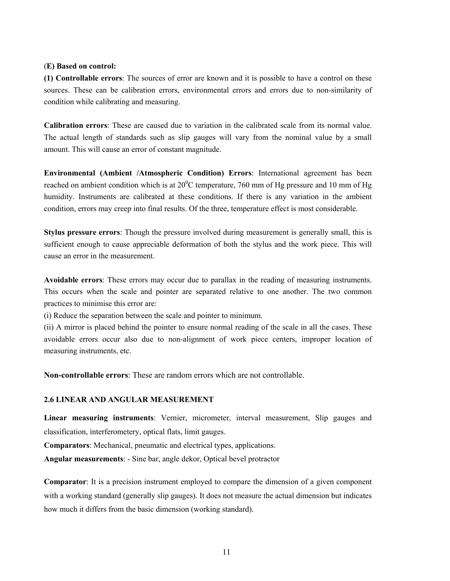#### (**E) Based on control:**

**(1) Controllable errors**: The sources of error are known and it is possible to have a control on these sources. These can be calibration errors, environmental errors and errors due to non-similarity of condition while calibrating and measuring.

**Calibration errors**: These are caused due to variation in the calibrated scale from its normal value. The actual length of standards such as slip gauges will vary from the nominal value by a small amount. This will cause an error of constant magnitude.

**Environmental (Ambient /Atmospheric Condition) Errors**: International agreement has been reached on ambient condition which is at  $20^{\circ}$ C temperature, 760 mm of Hg pressure and 10 mm of Hg humidity. Instruments are calibrated at these conditions. If there is any variation in the ambient condition, errors may creep into final results. Of the three, temperature effect is most considerable.

**Stylus pressure errors**: Though the pressure involved during measurement is generally small, this is sufficient enough to cause appreciable deformation of both the stylus and the work piece. This will cause an error in the measurement.

**Avoidable errors**: These errors may occur due to parallax in the reading of measuring instruments. This occurs when the scale and pointer are separated relative to one another. The two common practices to minimise this error are:

(i) Reduce the separation between the scale and pointer to minimum.

(ii) A mirror is placed behind the pointer to ensure normal reading of the scale in all the cases. These avoidable errors occur also due to non-alignment of work piece centers, improper location of measuring instruments, etc.

**Non-controllable errors**: These are random errors which are not controllable.

## **2.6 LINEAR AND ANGULAR MEASUREMENT**

**Linear measuring instruments**: Vernier, micrometer, interval measurement, Slip gauges and classification, interferometery, optical flats, limit gauges.

**Comparators**: Mechanical, pneumatic and electrical types, applications.

**Angular measurements**: - Sine bar, angle dekor, Optical bevel protractor

**Comparator**: It is a precision instrument employed to compare the dimension of a given component with a working standard (generally slip gauges). It does not measure the actual dimension but indicates how much it differs from the basic dimension (working standard).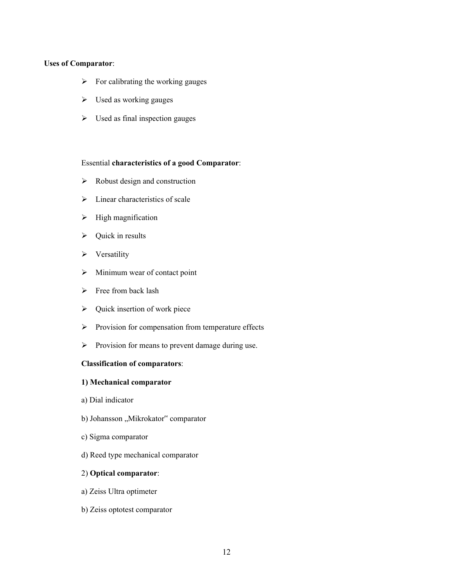## **Uses of Comparator**:

- $\triangleright$  For calibrating the working gauges
- $\triangleright$  Used as working gauges
- $\triangleright$  Used as final inspection gauges

#### Essential **characteristics of a good Comparator**:

- $\triangleright$  Robust design and construction
- $\triangleright$  Linear characteristics of scale
- $\blacktriangleright$  High magnification
- $\triangleright$  Quick in results
- $\triangleright$  Versatility
- $\triangleright$  Minimum wear of contact point
- $\triangleright$  Free from back lash
- $\triangleright$  Quick insertion of work piece
- $\triangleright$  Provision for compensation from temperature effects
- $\triangleright$  Provision for means to prevent damage during use.

## **Classification of comparators**:

#### **1) Mechanical comparator**

- a) Dial indicator
- b) Johansson "Mikrokator" comparator
- c) Sigma comparator
- d) Reed type mechanical comparator

# 2) **Optical comparator**:

- a) Zeiss Ultra optimeter
- b) Zeiss optotest comparator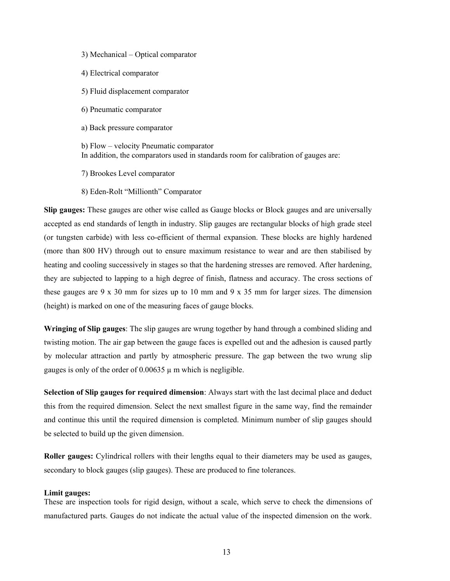- 3) Mechanical Optical comparator
- 4) Electrical comparator
- 5) Fluid displacement comparator
- 6) Pneumatic comparator
- a) Back pressure comparator

b) Flow – velocity Pneumatic comparator In addition, the comparators used in standards room for calibration of gauges are:

- 7) Brookes Level comparator
- 8) Eden-Rolt "Millionth" Comparator

**Slip gauges:** These gauges are other wise called as Gauge blocks or Block gauges and are universally accepted as end standards of length in industry. Slip gauges are rectangular blocks of high grade steel (or tungsten carbide) with less co-efficient of thermal expansion. These blocks are highly hardened (more than 800 HV) through out to ensure maximum resistance to wear and are then stabilised by heating and cooling successively in stages so that the hardening stresses are removed. After hardening, they are subjected to lapping to a high degree of finish, flatness and accuracy. The cross sections of these gauges are  $9 \times 30$  mm for sizes up to 10 mm and  $9 \times 35$  mm for larger sizes. The dimension (height) is marked on one of the measuring faces of gauge blocks.

**Wringing of Slip gauges**: The slip gauges are wrung together by hand through a combined sliding and twisting motion. The air gap between the gauge faces is expelled out and the adhesion is caused partly by molecular attraction and partly by atmospheric pressure. The gap between the two wrung slip gauges is only of the order of  $0.00635 \mu$  m which is negligible.

**Selection of Slip gauges for required dimension**: Always start with the last decimal place and deduct this from the required dimension. Select the next smallest figure in the same way, find the remainder and continue this until the required dimension is completed. Minimum number of slip gauges should be selected to build up the given dimension.

**Roller gauges:** Cylindrical rollers with their lengths equal to their diameters may be used as gauges, secondary to block gauges (slip gauges). These are produced to fine tolerances.

#### **Limit gauges:**

These are inspection tools for rigid design, without a scale, which serve to check the dimensions of manufactured parts. Gauges do not indicate the actual value of the inspected dimension on the work.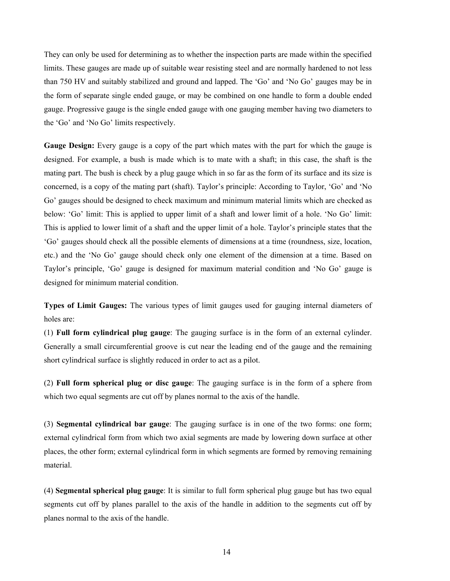They can only be used for determining as to whether the inspection parts are made within the specified limits. These gauges are made up of suitable wear resisting steel and are normally hardened to not less than 750 HV and suitably stabilized and ground and lapped. The 'Go' and 'No Go' gauges may be in the form of separate single ended gauge, or may be combined on one handle to form a double ended gauge. Progressive gauge is the single ended gauge with one gauging member having two diameters to the 'Go' and 'No Go' limits respectively.

**Gauge Design:** Every gauge is a copy of the part which mates with the part for which the gauge is designed. For example, a bush is made which is to mate with a shaft; in this case, the shaft is the mating part. The bush is check by a plug gauge which in so far as the form of its surface and its size is concerned, is a copy of the mating part (shaft). Taylor's principle: According to Taylor, 'Go' and 'No Go' gauges should be designed to check maximum and minimum material limits which are checked as below: 'Go' limit: This is applied to upper limit of a shaft and lower limit of a hole. 'No Go' limit: This is applied to lower limit of a shaft and the upper limit of a hole. Taylor's principle states that the 'Go' gauges should check all the possible elements of dimensions at a time (roundness, size, location, etc.) and the 'No Go' gauge should check only one element of the dimension at a time. Based on Taylor's principle, 'Go' gauge is designed for maximum material condition and 'No Go' gauge is designed for minimum material condition.

**Types of Limit Gauges:** The various types of limit gauges used for gauging internal diameters of holes are:

(1) **Full form cylindrical plug gauge**: The gauging surface is in the form of an external cylinder. Generally a small circumferential groove is cut near the leading end of the gauge and the remaining short cylindrical surface is slightly reduced in order to act as a pilot.

(2) **Full form spherical plug or disc gauge**: The gauging surface is in the form of a sphere from which two equal segments are cut off by planes normal to the axis of the handle.

(3) **Segmental cylindrical bar gauge**: The gauging surface is in one of the two forms: one form; external cylindrical form from which two axial segments are made by lowering down surface at other places, the other form; external cylindrical form in which segments are formed by removing remaining material.

(4) **Segmental spherical plug gauge**: It is similar to full form spherical plug gauge but has two equal segments cut off by planes parallel to the axis of the handle in addition to the segments cut off by planes normal to the axis of the handle.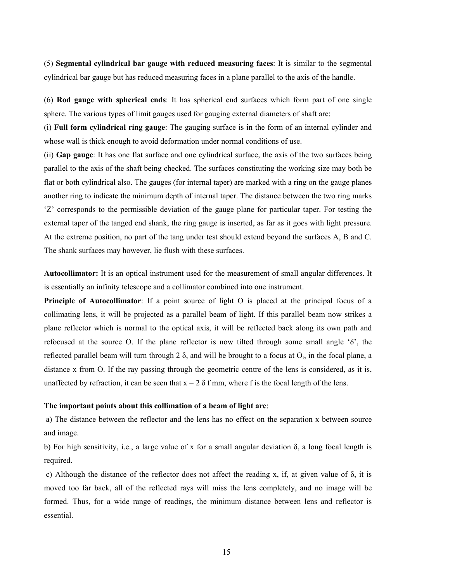(5) **Segmental cylindrical bar gauge with reduced measuring faces**: It is similar to the segmental cylindrical bar gauge but has reduced measuring faces in a plane parallel to the axis of the handle.

(6) **Rod gauge with spherical ends**: It has spherical end surfaces which form part of one single sphere. The various types of limit gauges used for gauging external diameters of shaft are:

(i) **Full form cylindrical ring gauge**: The gauging surface is in the form of an internal cylinder and whose wall is thick enough to avoid deformation under normal conditions of use.

(ii) **Gap gauge**: It has one flat surface and one cylindrical surface, the axis of the two surfaces being parallel to the axis of the shaft being checked. The surfaces constituting the working size may both be flat or both cylindrical also. The gauges (for internal taper) are marked with a ring on the gauge planes another ring to indicate the minimum depth of internal taper. The distance between the two ring marks 'Z' corresponds to the permissible deviation of the gauge plane for particular taper. For testing the external taper of the tanged end shank, the ring gauge is inserted, as far as it goes with light pressure. At the extreme position, no part of the tang under test should extend beyond the surfaces A, B and C. The shank surfaces may however, lie flush with these surfaces.

**Autocollimator:** It is an optical instrument used for the measurement of small angular differences. It is essentially an infinity telescope and a collimator combined into one instrument.

**Principle of Autocollimator**: If a point source of light O is placed at the principal focus of a collimating lens, it will be projected as a parallel beam of light. If this parallel beam now strikes a plane reflector which is normal to the optical axis, it will be reflected back along its own path and refocused at the source O. If the plane reflector is now tilted through some small angle  $\delta$ , the reflected parallel beam will turn through 2  $\delta$ , and will be brought to a focus at  $O<sub>1</sub>$ , in the focal plane, a distance x from O. If the ray passing through the geometric centre of the lens is considered, as it is, unaffected by refraction, it can be seen that  $x = 2 \delta$  f mm, where f is the focal length of the lens.

#### **The important points about this collimation of a beam of light are**:

 a) The distance between the reflector and the lens has no effect on the separation x between source and image.

b) For high sensitivity, i.e., a large value of x for a small angular deviation  $\delta$ , a long focal length is required.

c) Although the distance of the reflector does not affect the reading x, if, at given value of  $\delta$ , it is moved too far back, all of the reflected rays will miss the lens completely, and no image will be formed. Thus, for a wide range of readings, the minimum distance between lens and reflector is essential.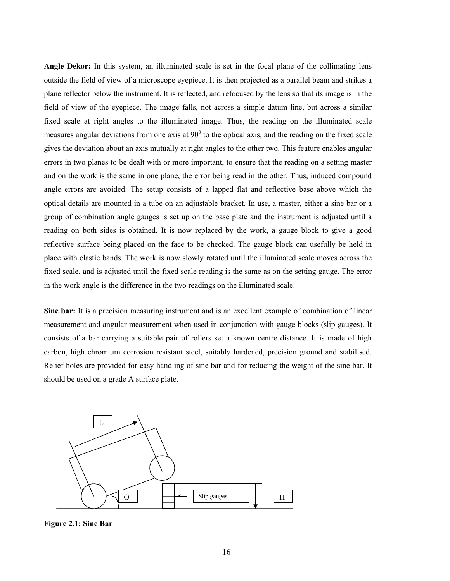**Angle Dekor:** In this system, an illuminated scale is set in the focal plane of the collimating lens outside the field of view of a microscope eyepiece. It is then projected as a parallel beam and strikes a plane reflector below the instrument. It is reflected, and refocused by the lens so that its image is in the field of view of the eyepiece. The image falls, not across a simple datum line, but across a similar fixed scale at right angles to the illuminated image. Thus, the reading on the illuminated scale measures angular deviations from one axis at  $90<sup>0</sup>$  to the optical axis, and the reading on the fixed scale gives the deviation about an axis mutually at right angles to the other two. This feature enables angular errors in two planes to be dealt with or more important, to ensure that the reading on a setting master and on the work is the same in one plane, the error being read in the other. Thus, induced compound angle errors are avoided. The setup consists of a lapped flat and reflective base above which the optical details are mounted in a tube on an adjustable bracket. In use, a master, either a sine bar or a group of combination angle gauges is set up on the base plate and the instrument is adjusted until a reading on both sides is obtained. It is now replaced by the work, a gauge block to give a good reflective surface being placed on the face to be checked. The gauge block can usefully be held in place with elastic bands. The work is now slowly rotated until the illuminated scale moves across the fixed scale, and is adjusted until the fixed scale reading is the same as on the setting gauge. The error in the work angle is the difference in the two readings on the illuminated scale.

**Sine bar:** It is a precision measuring instrument and is an excellent example of combination of linear measurement and angular measurement when used in conjunction with gauge blocks (slip gauges). It consists of a bar carrying a suitable pair of rollers set a known centre distance. It is made of high carbon, high chromium corrosion resistant steel, suitably hardened, precision ground and stabilised. Relief holes are provided for easy handling of sine bar and for reducing the weight of the sine bar. It should be used on a grade A surface plate.



**Figure 2.1: Sine Bar**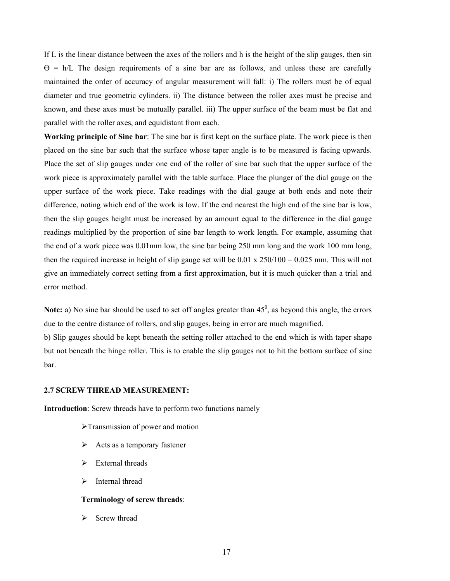If L is the linear distance between the axes of the rollers and h is the height of the slip gauges, then sin  $\Theta = h/L$  The design requirements of a sine bar are as follows, and unless these are carefully maintained the order of accuracy of angular measurement will fall: i) The rollers must be of equal diameter and true geometric cylinders. ii) The distance between the roller axes must be precise and known, and these axes must be mutually parallel. iii) The upper surface of the beam must be flat and parallel with the roller axes, and equidistant from each.

**Working principle of Sine bar**: The sine bar is first kept on the surface plate. The work piece is then placed on the sine bar such that the surface whose taper angle is to be measured is facing upwards. Place the set of slip gauges under one end of the roller of sine bar such that the upper surface of the work piece is approximately parallel with the table surface. Place the plunger of the dial gauge on the upper surface of the work piece. Take readings with the dial gauge at both ends and note their difference, noting which end of the work is low. If the end nearest the high end of the sine bar is low, then the slip gauges height must be increased by an amount equal to the difference in the dial gauge readings multiplied by the proportion of sine bar length to work length. For example, assuming that the end of a work piece was 0.01mm low, the sine bar being 250 mm long and the work 100 mm long, then the required increase in height of slip gauge set will be  $0.01 \times 250/100 = 0.025$  mm. This will not give an immediately correct setting from a first approximation, but it is much quicker than a trial and error method.

**Note:** a) No sine bar should be used to set off angles greater than  $45^\circ$ , as beyond this angle, the errors due to the centre distance of rollers, and slip gauges, being in error are much magnified.

b) Slip gauges should be kept beneath the setting roller attached to the end which is with taper shape but not beneath the hinge roller. This is to enable the slip gauges not to hit the bottom surface of sine bar.

#### **2.7 SCREW THREAD MEASUREMENT:**

**Introduction**: Screw threads have to perform two functions namely

- ¾Transmission of power and motion
- $\triangleright$  Acts as a temporary fastener
- $\triangleright$  External threads
- Internal thread

#### **Terminology of screw threads**:

 $\triangleright$  Screw thread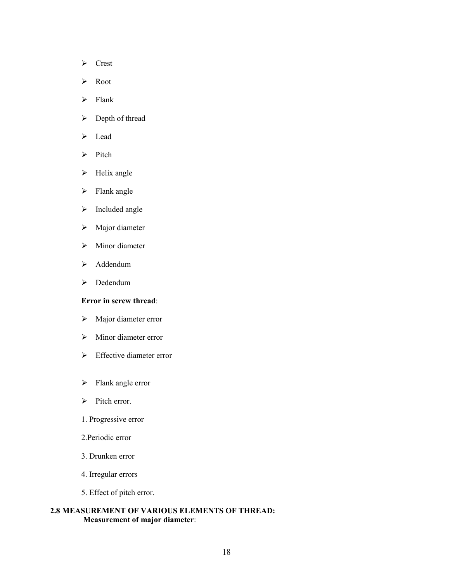- ¾ Crest
- ¾ Root
- $\triangleright$  Flank
- > Depth of thread
- ¾ Lead
- $\triangleright$  Pitch
- $\blacktriangleright$  Helix angle
- $\triangleright$  Flank angle
- $\blacktriangleright$  Included angle
- $\blacktriangleright$  Major diameter
- $\triangleright$  Minor diameter
- ¾ Addendum
- ¾ Dedendum

#### **Error in screw thread**:

- $\triangleright$  Major diameter error
- $\triangleright$  Minor diameter error
- $\triangleright$  Effective diameter error
- $\blacktriangleright$  Flank angle error
- $\triangleright$  Pitch error.
- 1. Progressive error
- 2.Periodic error
- 3. Drunken error
- 4. Irregular errors
- 5. Effect of pitch error.

# **2.8 MEASUREMENT OF VARIOUS ELEMENTS OF THREAD: Measurement of major diameter**: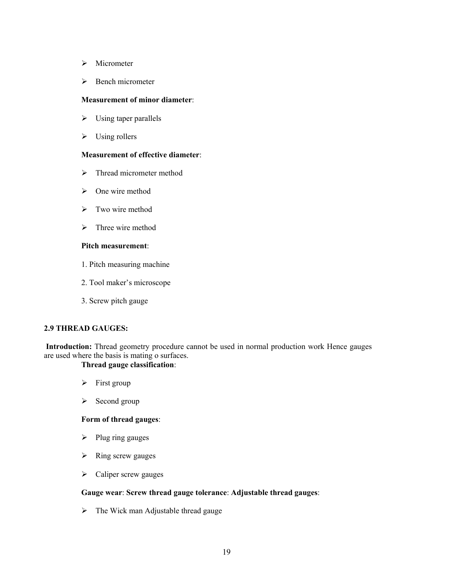- $\triangleright$  Micrometer
- $\triangleright$  Bench micrometer

## **Measurement of minor diameter**:

- $\triangleright$  Using taper parallels
- $\triangleright$  Using rollers

## **Measurement of effective diameter**:

- $\triangleright$  Thread micrometer method
- $\triangleright$  One wire method
- $\triangleright$  Two wire method
- $\triangleright$  Three wire method

## **Pitch measurement**:

- 1. Pitch measuring machine
- 2. Tool maker's microscope
- 3. Screw pitch gauge

#### **2.9 THREAD GAUGES:**

 **Introduction:** Thread geometry procedure cannot be used in normal production work Hence gauges are used where the basis is mating o surfaces.

# **Thread gauge classification**:

- $\triangleright$  First group
- $\triangleright$  Second group

# **Form of thread gauges**:

- $\triangleright$  Plug ring gauges
- $\triangleright$  Ring screw gauges
- $\triangleright$  Caliper screw gauges

# **Gauge wear**: **Screw thread gauge tolerance**: **Adjustable thread gauges**:

 $\triangleright$  The Wick man Adjustable thread gauge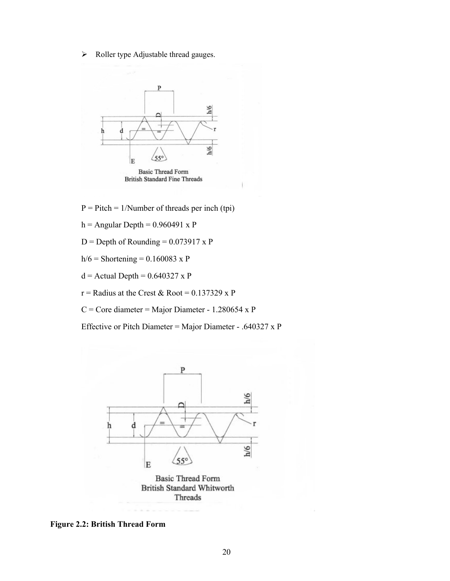$\triangleright$  Roller type Adjustable thread gauges.



 $P =$  Pitch = 1/Number of threads per inch (tpi)

- h = Angular Depth =  $0.960491 \times P$
- $D =$  Depth of Rounding = 0.073917 x P
- $h/6$  = Shortening = 0.160083 x P
- $d =$  Actual Depth = 0.640327 x P
- $r =$ Radius at the Crest & Root = 0.137329 x P
- $C = Core diameter = Major Diameter 1.280654 \times P$

Effective or Pitch Diameter = Major Diameter - .640327 x P



**Figure 2.2: British Thread Form**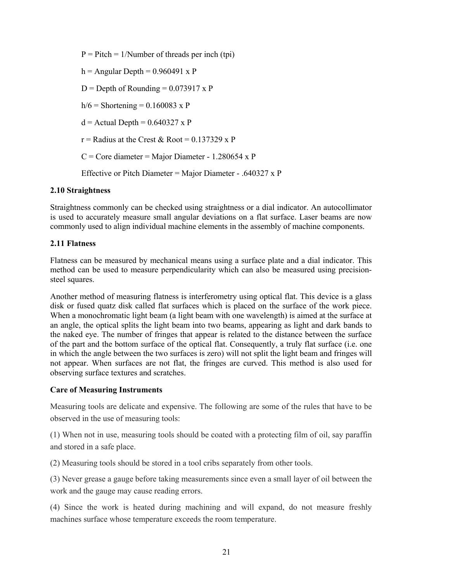$P =$  Pitch = 1/Number of threads per inch (tpi) h = Angular Depth =  $0.960491 \times P$  $D =$  Depth of Rounding = 0.073917 x P  $h/6$  = Shortening = 0.160083 x P  $d =$  Actual Depth = 0.640327 x P  $r =$ Radius at the Crest & Root = 0.137329 x P  $C = Core diameter = Major Diameter - 1.280654 \times P$ Effective or Pitch Diameter = Major Diameter - .640327 x P

# **2.10 Straightness**

Straightness commonly can be checked using straightness or a dial indicator. An autocollimator is used to accurately measure small angular deviations on a flat surface. Laser beams are now commonly used to align individual machine elements in the assembly of machine components.

# **2.11 Flatness**

Flatness can be measured by mechanical means using a surface plate and a dial indicator. This method can be used to measure perpendicularity which can also be measured using precisionsteel squares.

Another method of measuring flatness is interferometry using optical flat. This device is a glass disk or fused quatz disk called flat surfaces which is placed on the surface of the work piece. When a monochromatic light beam (a light beam with one wavelength) is aimed at the surface at an angle, the optical splits the light beam into two beams, appearing as light and dark bands to the naked eye. The number of fringes that appear is related to the distance between the surface of the part and the bottom surface of the optical flat. Consequently, a truly flat surface (i.e. one in which the angle between the two surfaces is zero) will not split the light beam and fringes will not appear. When surfaces are not flat, the fringes are curved. This method is also used for observing surface textures and scratches.

# **Care of Measuring Instruments**

Measuring tools are delicate and expensive. The following are some of the rules that have to be observed in the use of measuring tools:

(1) When not in use, measuring tools should be coated with a protecting film of oil, say paraffin and stored in a safe place.

(2) Measuring tools should be stored in a tool cribs separately from other tools.

(3) Never grease a gauge before taking measurements since even a small layer of oil between the work and the gauge may cause reading errors.

(4) Since the work is heated during machining and will expand, do not measure freshly machines surface whose temperature exceeds the room temperature.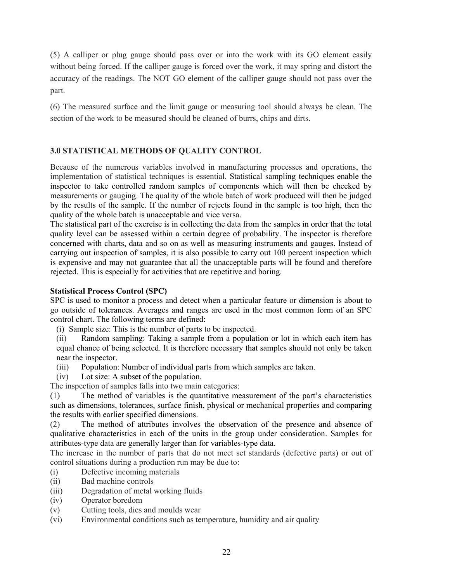(5) A calliper or plug gauge should pass over or into the work with its GO element easily without being forced. If the calliper gauge is forced over the work, it may spring and distort the accuracy of the readings. The NOT GO element of the calliper gauge should not pass over the part.

(6) The measured surface and the limit gauge or measuring tool should always be clean. The section of the work to be measured should be cleaned of burrs, chips and dirts.

# **3.0 STATISTICAL METHODS OF QUALITY CONTROL**

Because of the numerous variables involved in manufacturing processes and operations, the implementation of statistical techniques is essential. Statistical sampling techniques enable the inspector to take controlled random samples of components which will then be checked by measurements or gauging. The quality of the whole batch of work produced will then be judged by the results of the sample. If the number of rejects found in the sample is too high, then the quality of the whole batch is unacceptable and vice versa.

The statistical part of the exercise is in collecting the data from the samples in order that the total quality level can be assessed within a certain degree of probability. The inspector is therefore concerned with charts, data and so on as well as measuring instruments and gauges. Instead of carrying out inspection of samples, it is also possible to carry out 100 percent inspection which is expensive and may not guarantee that all the unacceptable parts will be found and therefore rejected. This is especially for activities that are repetitive and boring.

# **Statistical Process Control (SPC)**

SPC is used to monitor a process and detect when a particular feature or dimension is about to go outside of tolerances. Averages and ranges are used in the most common form of an SPC control chart. The following terms are defined:

- (i) Sample size: This is the number of parts to be inspected.
- (ii) Random sampling: Taking a sample from a population or lot in which each item has equal chance of being selected. It is therefore necessary that samples should not only be taken near the inspector.
- (iii) Population: Number of individual parts from which samples are taken.
- (iv) Lot size: A subset of the population.
- The inspection of samples falls into two main categories:

(1) The method of variables is the quantitative measurement of the part's characteristics such as dimensions, tolerances, surface finish, physical or mechanical properties and comparing the results with earlier specified dimensions.

(2) The method of attributes involves the observation of the presence and absence of qualitative characteristics in each of the units in the group under consideration. Samples for attributes-type data are generally larger than for variables-type data.

The increase in the number of parts that do not meet set standards (defective parts) or out of control situations during a production run may be due to:

- (i) Defective incoming materials
- (ii) Bad machine controls
- (iii) Degradation of metal working fluids
- (iv) Operator boredom
- (v) Cutting tools, dies and moulds wear
- (vi) Environmental conditions such as temperature, humidity and air quality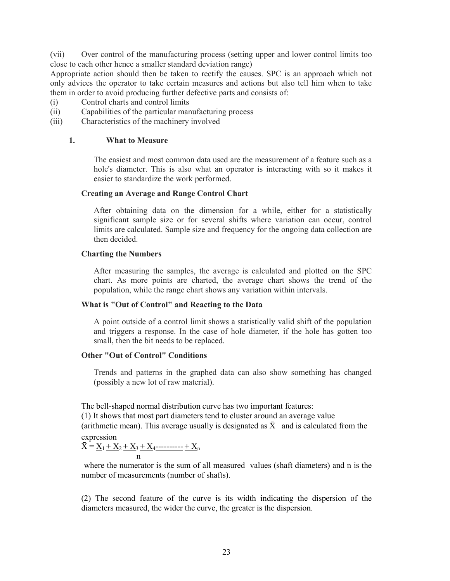(vii) Over control of the manufacturing process (setting upper and lower control limits too close to each other hence a smaller standard deviation range)

Appropriate action should then be taken to rectify the causes. SPC is an approach which not only advices the operator to take certain measures and actions but also tell him when to take them in order to avoid producing further defective parts and consists of:

- (i) Control charts and control limits
- (ii) Capabilities of the particular manufacturing process
- (iii) Characteristics of the machinery involved

#### **1. What to Measure**

The easiest and most common data used are the measurement of a feature such as a hole's diameter. This is also what an operator is interacting with so it makes it easier to standardize the work performed.

#### **Creating an Average and Range Control Chart**

After obtaining data on the dimension for a while, either for a statistically significant sample size or for several shifts where variation can occur, control limits are calculated. Sample size and frequency for the ongoing data collection are then decided.

## **Charting the Numbers**

After measuring the samples, the average is calculated and plotted on the SPC chart. As more points are charted, the average chart shows the trend of the population, while the range chart shows any variation within intervals.

#### **What is "Out of Control" and Reacting to the Data**

A point outside of a control limit shows a statistically valid shift of the population and triggers a response. In the case of hole diameter, if the hole has gotten too small, then the bit needs to be replaced.

#### **Other "Out of Control" Conditions**

Trends and patterns in the graphed data can also show something has changed (possibly a new lot of raw material).

The bell-shaped normal distribution curve has two important features:

(1) It shows that most part diameters tend to cluster around an average value (arithmetic mean). This average usually is designated as  $\bar{X}$  and is calculated from the expression

 $\bar{X} = \underline{X_1 + X_2 + X_3 + X_4 \cdots + X_n}$ n

 where the numerator is the sum of all measured values (shaft diameters) and n is the number of measurements (number of shafts).

(2) The second feature of the curve is its width indicating the dispersion of the diameters measured, the wider the curve, the greater is the dispersion.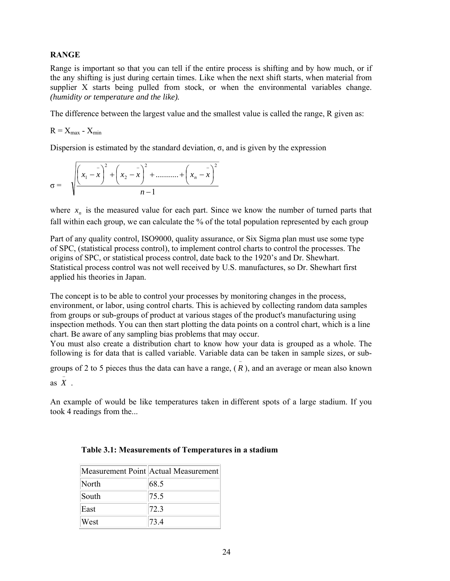# **RANGE**

Range is important so that you can tell if the entire process is shifting and by how much, or if the any shifting is just during certain times. Like when the next shift starts, when material from supplier X starts being pulled from stock, or when the environmental variables change. *(humidity or temperature and the like).* 

The difference between the largest value and the smallest value is called the range, R given as:

$$
R = X_{\text{max}} - X_{\text{min}}
$$

Dispersion is estimated by the standard deviation,  $\sigma$ , and is given by the expression

$$
\sigma = \sqrt{\frac{(x_1 - x)^2 + (x_2 - x)^2 + \dots + (x_n - x)^2}{n-1}}
$$

where  $x_n$  is the measured value for each part. Since we know the number of turned parts that fall within each group, we can calculate the % of the total population represented by each group

Part of any quality control, ISO9000, quality assurance, or Six Sigma plan must use some type of SPC, (statistical process control), to implement control charts to control the processes. The origins of SPC, or statistical process control, date back to the 1920's and Dr. Shewhart. Statistical process control was not well received by U.S. manufactures, so Dr. Shewhart first applied his theories in Japan.

The concept is to be able to control your processes by monitoring changes in the process, environment, or labor, using control charts. This is achieved by collecting random data samples from groups or sub-groups of product at various stages of the product's manufacturing using inspection methods. You can then start plotting the data points on a control chart, which is a line chart. Be aware of any sampling bias problems that may occur.

You must also create a distribution chart to know how your data is grouped as a whole. The following is for data that is called variable. Variable data can be taken in sample sizes, or sub-

groups of 2 to 5 pieces thus the data can have a range,  $(R)$ , and an average or mean also known

as  $\overline{X}$ .

An example of would be like temperatures taken in different spots of a large stadium. If you took 4 readings from the...

|       | Measurement Point Actual Measurement |
|-------|--------------------------------------|
| North | 68.5                                 |
| South | 175.5                                |
| East  | 172.3                                |
| West  | 734                                  |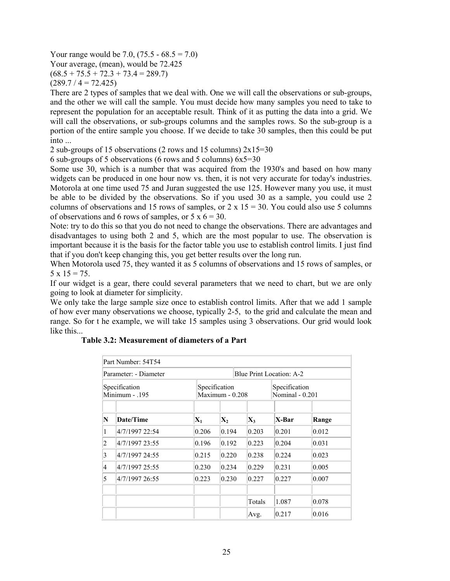Your range would be 7.0,  $(75.5 - 68.5 = 7.0)$ Your average, (mean), would be 72.425  $(68.5 + 75.5 + 72.3 + 73.4 = 289.7)$  $(289.7 / 4 = 72.425)$ 

There are 2 types of samples that we deal with. One we will call the observations or sub-groups, and the other we will call the sample. You must decide how many samples you need to take to represent the population for an acceptable result. Think of it as putting the data into a grid. We will call the observations, or sub-groups columns and the samples rows. So the sub-group is a portion of the entire sample you choose. If we decide to take 30 samples, then this could be put into ...

2 sub-groups of 15 observations (2 rows and 15 columns)  $2x15=30$ 

6 sub-groups of 5 observations (6 rows and 5 columns) 6x5=30

Some use 30, which is a number that was acquired from the 1930's and based on how many widgets can be produced in one hour now vs. then, it is not very accurate for today's industries. Motorola at one time used 75 and Juran suggested the use 125. However many you use, it must be able to be divided by the observations. So if you used 30 as a sample, you could use 2 columns of observations and 15 rows of samples, or  $2 \times 15 = 30$ . You could also use 5 columns of observations and 6 rows of samples, or  $5 \times 6 = 30$ .

Note: try to do this so that you do not need to change the observations. There are advantages and disadvantages to using both 2 and 5, which are the most popular to use. The observation is important because it is the basis for the factor table you use to establish control limits. I just find that if you don't keep changing this, you get better results over the long run.

When Motorola used 75, they wanted it as 5 columns of observations and 15 rows of samples, or  $5 \times 15 = 75$ .

If our widget is a gear, there could several parameters that we need to chart, but we are only going to look at diameter for simplicity.

We only take the large sample size once to establish control limits. After that we add 1 sample of how ever many observations we choose, typically 2-5, to the grid and calculate the mean and range. So for t he example, we will take 15 samples using 3 observations. Our grid would look like this...

|                                 | Part Number: 54T54    |                |                                  |        |                                  |       |
|---------------------------------|-----------------------|----------------|----------------------------------|--------|----------------------------------|-------|
|                                 | Parameter: - Diameter |                | <b>Blue Print Location: A-2</b>  |        |                                  |       |
| Specification<br>Minimum - .195 |                       |                | Specification<br>Maximum - 0.208 |        | Specification<br>Nominal - 0.201 |       |
|                                 |                       |                |                                  |        |                                  |       |
| N                               | Date/Time             | $\mathbf{X}_1$ | $\mathbf{X}_2$                   | $X_3$  | X-Bar                            | Range |
| 1                               | 4/7/1997 22:54        | 0.206          | 0.194                            | 0.203  | 0.201                            | 0.012 |
| $\overline{2}$                  | 4/7/1997 23:55        | 0.196          | 0.192                            | 0.223  | 0.204                            | 0.031 |
| 3                               | 4/7/1997 24:55        | 0.215          | 0.220                            | 0.238  | 0.224                            | 0.023 |
| 4                               | 4/7/1997 25:55        | 0.230          | 0.234                            | 0.229  | 0.231                            | 0.005 |
| 5                               | 4/7/1997 26:55        | 0.223          | 0.230                            | 0.227  | 0.227                            | 0.007 |
|                                 |                       |                |                                  |        |                                  |       |
|                                 |                       |                |                                  | Totals | 1.087                            | 0.078 |
|                                 |                       |                |                                  | Avg.   | 0.217                            | 0.016 |

# **Table 3.2: Measurement of diameters of a Part**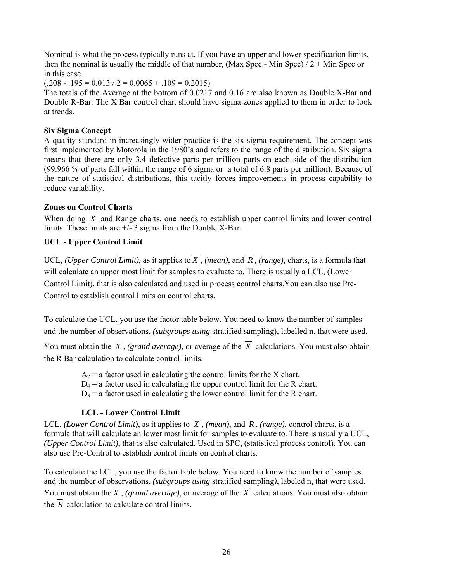Nominal is what the process typically runs at. If you have an upper and lower specification limits, then the nominal is usually the middle of that number, (Max Spec - Min Spec)  $/2 +$  Min Spec or in this case...

 $(.208 - .195 = 0.013 / 2 = 0.0065 + .109 = 0.2015)$ 

The totals of the Average at the bottom of 0.0217 and 0.16 are also known as Double X-Bar and Double R-Bar. The X Bar control chart should have sigma zones applied to them in order to look at trends.

# **Six Sigma Concept**

A quality standard in increasingly wider practice is the six sigma requirement. The concept was first implemented by Motorola in the 1980's and refers to the range of the distribution. Six sigma means that there are only 3.4 defective parts per million parts on each side of the distribution (99.966 % of parts fall within the range of 6 sigma or a total of 6.8 parts per million). Because of the nature of statistical distributions, this tacitly forces improvements in process capability to reduce variability.

# **Zones on Control Charts**

When doing  $\overline{X}$  and Range charts, one needs to establish upper control limits and lower control limits. These limits are  $+/- 3$  sigma from the Double X-Bar.

# **UCL - Upper Control Limit**

UCL, *(Upper Control Limit)*, as it applies to  $\overline{X}$ , *(mean)*, and  $\overline{R}$ , *(range)*, charts, is a formula that will calculate an upper most limit for samples to evaluate to. There is usually a LCL, (Lower Control Limit), that is also calculated and used in process control charts.You can also use Pre-Control to establish control limits on control charts.

To calculate the UCL, you use the factor table below. You need to know the number of samples and the number of observations, *(subgroups using* stratified sampling), labelled n, that were used.

You must obtain the  $\overline{X}$ , *(grand average)*, or average of the  $\overline{X}$  calculations. You must also obtain the R Bar calculation to calculate control limits.

 $A_2$  = a factor used in calculating the control limits for the X chart.

 $D_4$  = a factor used in calculating the upper control limit for the R chart.

 $D_3$  = a factor used in calculating the lower control limit for the R chart.

# **LCL - Lower Control Limit**

LCL, *(Lower Control Limit)*, as it applies to  $\overline{X}$ , *(mean)*, and  $\overline{R}$ , *(range)*, control charts, is a formula that will calculate an lower most limit for samples to evaluate to. There is usually a UCL, *(Upper Control Limit)*, that is also calculated. Used in SPC, (statistical process control). You can also use Pre-Control to establish control limits on control charts.

To calculate the LCL, you use the factor table below. You need to know the number of samples and the number of observations, *(subgroups using* stratified sampling*)*, labeled n, that were used. You must obtain the  $\overline{X}$ , *(grand average)*, or average of the  $\overline{X}$  calculations. You must also obtain the *R* calculation to calculate control limits.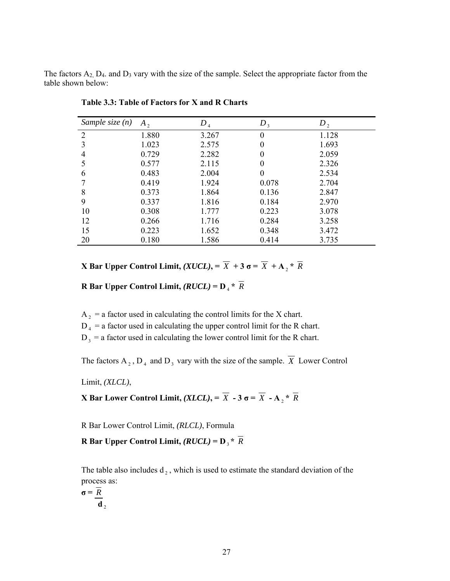The factors  $A_2$ ,  $D_4$ , and  $D_3$  vary with the size of the sample. Select the appropriate factor from the table shown below:

| Sample size $(n)$ | $A_2$ | $D_4$ | $D_3$            | $D_2$ |  |
|-------------------|-------|-------|------------------|-------|--|
| $\overline{2}$    | 1.880 | 3.267 | $\theta$         | 1.128 |  |
| 3                 | 1.023 | 2.575 | $\boldsymbol{0}$ | 1.693 |  |
| $\overline{4}$    | 0.729 | 2.282 | 0                | 2.059 |  |
| 5                 | 0.577 | 2.115 | 0                | 2.326 |  |
| 6                 | 0.483 | 2.004 | 0                | 2.534 |  |
|                   | 0.419 | 1.924 | 0.078            | 2.704 |  |
| 8                 | 0.373 | 1.864 | 0.136            | 2.847 |  |
| 9                 | 0.337 | 1.816 | 0.184            | 2.970 |  |
| 10                | 0.308 | 1.777 | 0.223            | 3.078 |  |
| 12                | 0.266 | 1.716 | 0.284            | 3.258 |  |
| 15                | 0.223 | 1.652 | 0.348            | 3.472 |  |
| 20                | 0.180 | 1.586 | 0.414            | 3.735 |  |

**Table 3.3: Table of Factors for X and R Charts** 

**X** Bar Upper Control Limit,  $(XUCL)$ , =  $\overline{X}$  + 3  $\sigma$  =  $\overline{X}$  + A<sub>2</sub> \*  $\overline{R}$ 

**R** Bar Upper Control Limit,  $(RUCL) = D_4 * \overline{R}$ 

 $A_2$  = a factor used in calculating the control limits for the X chart.

 $D_4$  = a factor used in calculating the upper control limit for the R chart.

 $D_3$  = a factor used in calculating the lower control limit for the R chart.

The factors  $A_2$ ,  $D_4$  and  $D_3$  vary with the size of the sample.  $\overline{X}$  Lower Control

Limit, *(XLCL)*,

**X** Bar Lower Control Limit,  $(XLCL)$ , =  $\overline{X}$  - 3  $\sigma = \overline{X}$  - A<sub>2</sub>  $*$   $\overline{R}$ 

R Bar Lower Control Limit, *(RLCL)*, Formula

**R** Bar Upper Control Limit,  $(RUCL) = D_3 * \overline{R}$ 

The table also includes  $d_2$ , which is used to estimate the standard deviation of the process as:

$$
\sigma = \frac{\overline{R}}{d_2}
$$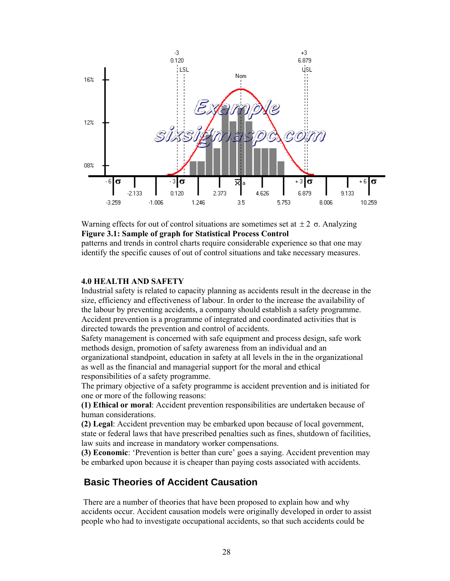

Warning effects for out of control situations are sometimes set at  $\pm 2$   $\sigma$ . Analyzing **Figure 3.1: Sample of graph for Statistical Process Control** 

patterns and trends in control charts require considerable experience so that one may identify the specific causes of out of control situations and take necessary measures.

#### **4.0 HEALTH AND SAFETY**

Industrial safety is related to capacity planning as accidents result in the decrease in the size, efficiency and effectiveness of labour. In order to the increase the availability of the labour by preventing accidents, a company should establish a safety programme. Accident prevention is a programme of integrated and coordinated activities that is directed towards the prevention and control of accidents.

Safety management is concerned with safe equipment and process design, safe work methods design, promotion of safety awareness from an individual and an

organizational standpoint, education in safety at all levels in the in the organizational as well as the financial and managerial support for the moral and ethical responsibilities of a safety programme.

The primary objective of a safety programme is accident prevention and is initiated for one or more of the following reasons:

**(1) Ethical or moral**: Accident prevention responsibilities are undertaken because of human considerations.

**(2) Legal**: Accident prevention may be embarked upon because of local government, state or federal laws that have prescribed penalties such as fines, shutdown of facilities, law suits and increase in mandatory worker compensations.

**(3) Economic**: 'Prevention is better than cure' goes a saying. Accident prevention may be embarked upon because it is cheaper than paying costs associated with accidents.

# **Basic Theories of Accident Causation**

 There are a number of theories that have been proposed to explain how and why accidents occur. Accident causation models were originally developed in order to assist people who had to investigate occupational accidents, so that such accidents could be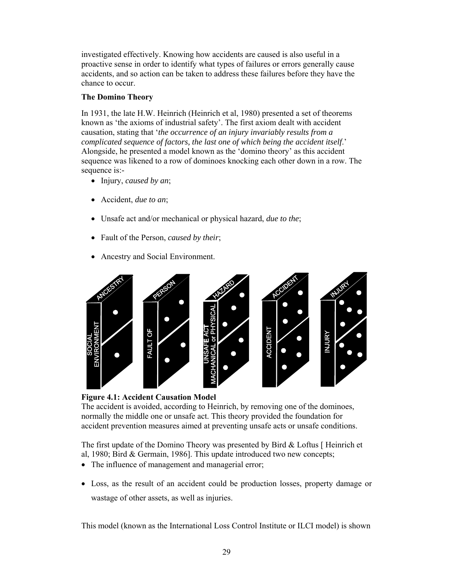investigated effectively. Knowing how accidents are caused is also useful in a proactive sense in order to identify what types of failures or errors generally cause accidents, and so action can be taken to address these failures before they have the chance to occur.

# **The Domino Theory**

In 1931, the late H.W. Heinrich (Heinrich et al, 1980) presented a set of theorems known as 'the axioms of industrial safety'. The first axiom dealt with accident causation, stating that '*the occurrence of an injury invariably results from a complicated sequence of factors, the last one of which being the accident itself*.' Alongside, he presented a model known as the 'domino theory' as this accident sequence was likened to a row of dominoes knocking each other down in a row. The sequence is:-

- Injury, *caused by an*;
- Accident, *due to an*;
- Unsafe act and/or mechanical or physical hazard, *due to the*;
- Fault of the Person, *caused by their*;
- Ancestry and Social Environment.



**Figure 4.1: Accident Causation Model** 

The accident is avoided, according to Heinrich, by removing one of the dominoes, normally the middle one or unsafe act. This theory provided the foundation for accident prevention measures aimed at preventing unsafe acts or unsafe conditions.

The first update of the Domino Theory was presented by Bird  $&$  Loftus [Heinrich et al, 1980; Bird & Germain, 1986]. This update introduced two new concepts;

- The influence of management and managerial error;
- Loss, as the result of an accident could be production losses, property damage or wastage of other assets, as well as injuries.

This model (known as the International Loss Control Institute or ILCI model) is shown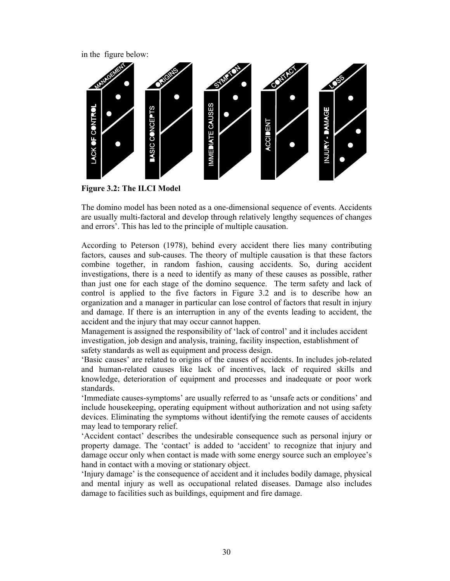

**Figure 3.2: The ILCI Model** 

The domino model has been noted as a one-dimensional sequence of events. Accidents are usually multi-factoral and develop through relatively lengthy sequences of changes and errors'. This has led to the principle of multiple causation.

According to Peterson (1978), behind every accident there lies many contributing factors, causes and sub-causes. The theory of multiple causation is that these factors combine together, in random fashion, causing accidents. So, during accident investigations, there is a need to identify as many of these causes as possible, rather than just one for each stage of the domino sequence. The term safety and lack of control is applied to the five factors in Figure 3.2 and is to describe how an organization and a manager in particular can lose control of factors that result in injury and damage. If there is an interruption in any of the events leading to accident, the accident and the injury that may occur cannot happen.

Management is assigned the responsibility of 'lack of control' and it includes accident investigation, job design and analysis, training, facility inspection, establishment of safety standards as well as equipment and process design.

'Basic causes' are related to origins of the causes of accidents. In includes job-related and human-related causes like lack of incentives, lack of required skills and knowledge, deterioration of equipment and processes and inadequate or poor work standards.

'Immediate causes-symptoms' are usually referred to as 'unsafe acts or conditions' and include housekeeping, operating equipment without authorization and not using safety devices. Eliminating the symptoms without identifying the remote causes of accidents may lead to temporary relief.

'Accident contact' describes the undesirable consequence such as personal injury or property damage. The 'contact' is added to 'accident' to recognize that injury and damage occur only when contact is made with some energy source such an employee's hand in contact with a moving or stationary object.

'Injury damage' is the consequence of accident and it includes bodily damage, physical and mental injury as well as occupational related diseases. Damage also includes damage to facilities such as buildings, equipment and fire damage.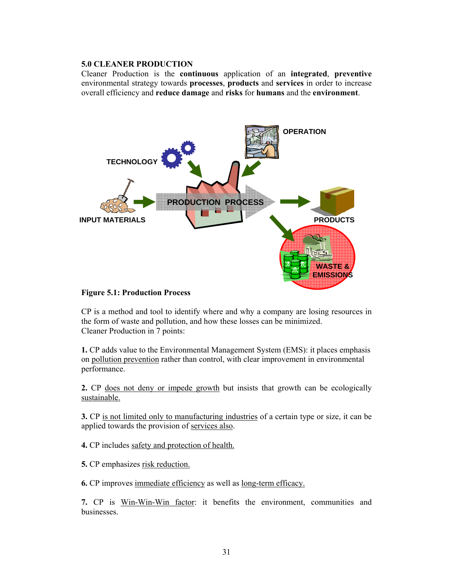# **5.0 CLEANER PRODUCTION**

Cleaner Production is the **continuous** application of an **integrated**, **preventive** environmental strategy towards **processes**, **products** and **services** in order to increase overall efficiency and **reduce damage** and **risks** for **humans** and the **environment**.



# **Figure 5.1: Production Process**

CP is a method and tool to identify where and why a company are losing resources in the form of waste and pollution, and how these losses can be minimized. Cleaner Production in 7 points:

**1.** CP adds value to the Environmental Management System (EMS): it places emphasis on pollution prevention rather than control, with clear improvement in environmental performance.

**2.** CP does not deny or impede growth but insists that growth can be ecologically sustainable.

**3.** CP is not limited only to manufacturing industries of a certain type or size, it can be applied towards the provision of services also.

**4.** CP includes safety and protection of health.

**5.** CP emphasizes risk reduction.

**6.** CP improves immediate efficiency as well as long-term efficacy.

**7.** CP is Win-Win-Win factor: it benefits the environment, communities and businesses.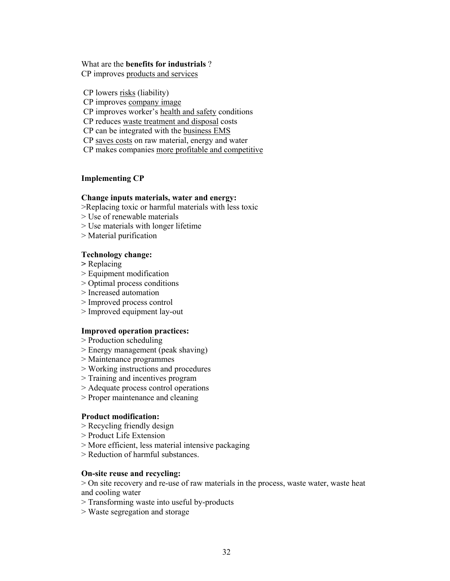# What are the **benefits for industrials** ? CP improves products and services

CP lowers risks (liability)

CP improves company image

CP improves worker's health and safety conditions

CP reduces waste treatment and disposal costs

CP can be integrated with the business EMS

CP saves costs on raw material, energy and water

CP makes companies more profitable and competitive

# **Implementing CP**

# **Change inputs materials, water and energy:**

>Replacing toxic or harmful materials with less toxic

- > Use of renewable materials
- > Use materials with longer lifetime
- > Material purification

# **Technology change:**

- **>** Replacing
- > Equipment modification
- > Optimal process conditions
- > Increased automation
- > Improved process control
- > Improved equipment lay-out

# **Improved operation practices:**

- > Production scheduling
- > Energy management (peak shaving)
- > Maintenance programmes
- > Working instructions and procedures
- > Training and incentives program
- > Adequate process control operations
- > Proper maintenance and cleaning

# **Product modification:**

- > Recycling friendly design
- > Product Life Extension
- > More efficient, less material intensive packaging
- > Reduction of harmful substances.

# **On-site reuse and recycling:**

> On site recovery and re-use of raw materials in the process, waste water, waste heat and cooling water

- > Transforming waste into useful by-products
- > Waste segregation and storage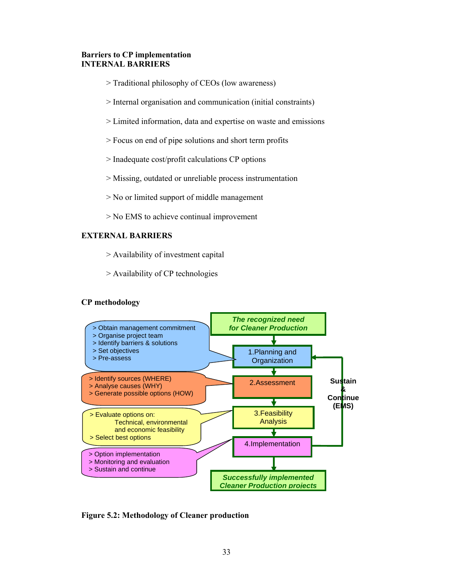# **Barriers to CP implementation INTERNAL BARRIERS**

- > Traditional philosophy of CEOs (low awareness)
- > Internal organisation and communication (initial constraints)
- > Limited information, data and expertise on waste and emissions
- > Focus on end of pipe solutions and short term profits
- > Inadequate cost/profit calculations CP options
- > Missing, outdated or unreliable process instrumentation
- > No or limited support of middle management
- > No EMS to achieve continual improvement

# **EXTERNAL BARRIERS**

- > Availability of investment capital
- > Availability of CP technologies

# **CP methodology**



**Figure 5.2: Methodology of Cleaner production**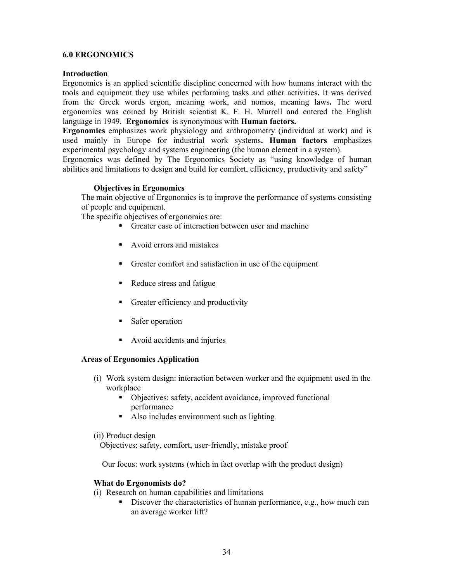# **6.0 ERGONOMICS**

# **Introduction**

Ergonomics is an applied scientific discipline concerned with how humans interact with the tools and equipment they use whiles performing tasks and other activities**.** It was derived from the Greek words ergon, meaning work, and nomos, meaning laws**.** The word ergonomics was coined by British scientist K. F. H. Murrell and entered the English language in 1949. **Ergonomics** is synonymous with **Human factors.** 

**Ergonomics** emphasizes work physiology and anthropometry (individual at work) and is used mainly in Europe for industrial work systems**. Human factors** emphasizes experimental psychology and systems engineering (the human element in a system).

Ergonomics was defined by The Ergonomics Society as "using knowledge of human abilities and limitations to design and build for comfort, efficiency, productivity and safety"

# **Objectives in Ergonomics**

The main objective of Ergonomics is to improve the performance of systems consisting of people and equipment.

The specific objectives of ergonomics are:

- Greater ease of interaction between user and machine
- Avoid errors and mistakes
- Greater comfort and satisfaction in use of the equipment
- Reduce stress and fatigue
- Greater efficiency and productivity
- Safer operation
- Avoid accidents and injuries

# **Areas of Ergonomics Application**

- (i) Work system design: interaction between worker and the equipment used in the workplace
	- Objectives: safety, accident avoidance, improved functional performance
	- Also includes environment such as lighting
- (ii) Product design

Objectives: safety, comfort, user-friendly, mistake proof

Our focus: work systems (which in fact overlap with the product design)

# **What do Ergonomists do?**

- (i) Research on human capabilities and limitations
	- Discover the characteristics of human performance, e.g., how much can an average worker lift?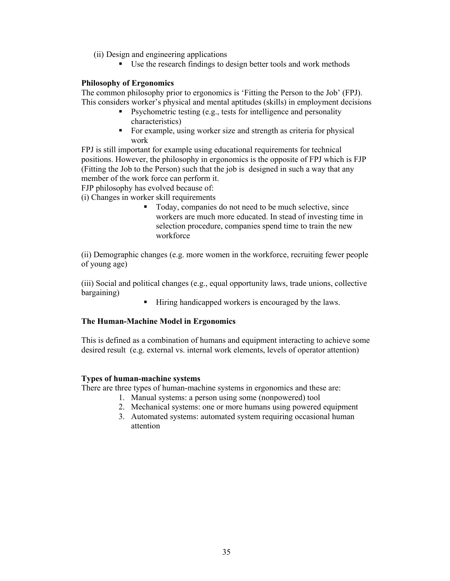- (ii) Design and engineering applications
	- Use the research findings to design better tools and work methods

# **Philosophy of Ergonomics**

The common philosophy prior to ergonomics is 'Fitting the Person to the Job' (FPJ). This considers worker's physical and mental aptitudes (skills) in employment decisions

- **Psychometric testing (e.g., tests for intelligence and personality** characteristics)
- For example, using worker size and strength as criteria for physical work

FPJ is still important for example using educational requirements for technical positions. However, the philosophy in ergonomics is the opposite of FPJ which is FJP (Fitting the Job to the Person) such that the job is designed in such a way that any member of the work force can perform it.

FJP philosophy has evolved because of:

(i) Changes in worker skill requirements

 Today, companies do not need to be much selective, since workers are much more educated. In stead of investing time in selection procedure, companies spend time to train the new workforce

(ii) Demographic changes (e.g. more women in the workforce, recruiting fewer people of young age)

(iii) Social and political changes (e.g., equal opportunity laws, trade unions, collective bargaining)

■ Hiring handicapped workers is encouraged by the laws.

# **The Human-Machine Model in Ergonomics**

This is defined as a combination of humans and equipment interacting to achieve some desired result (e.g. external vs. internal work elements, levels of operator attention)

# **Types of human-machine systems**

There are three types of human-machine systems in ergonomics and these are:

- 1. Manual systems: a person using some (nonpowered) tool
- 2. Mechanical systems: one or more humans using powered equipment
- 3. Automated systems: automated system requiring occasional human attention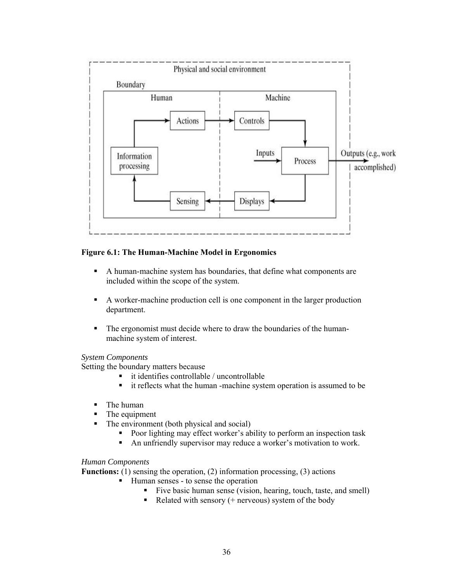

# **Figure 6.1: The Human-Machine Model in Ergonomics**

- A human-machine system has boundaries, that define what components are included within the scope of the system.
- A worker-machine production cell is one component in the larger production department.
- The ergonomist must decide where to draw the boundaries of the humanmachine system of interest.

#### *System Components*

Setting the boundary matters because

- it identifies controllable / uncontrollable
- it reflects what the human -machine system operation is assumed to be
- The human
- The equipment
- The environment (both physical and social)
	- Poor lighting may effect worker's ability to perform an inspection task
	- An unfriendly supervisor may reduce a worker's motivation to work.

#### *Human Components*

**Functions:** (1) sensing the operation, (2) information processing, (3) actions

- Human senses to sense the operation
	- Five basic human sense (vision, hearing, touch, taste, and smell)
	- Related with sensory  $(+)$  nerveous) system of the body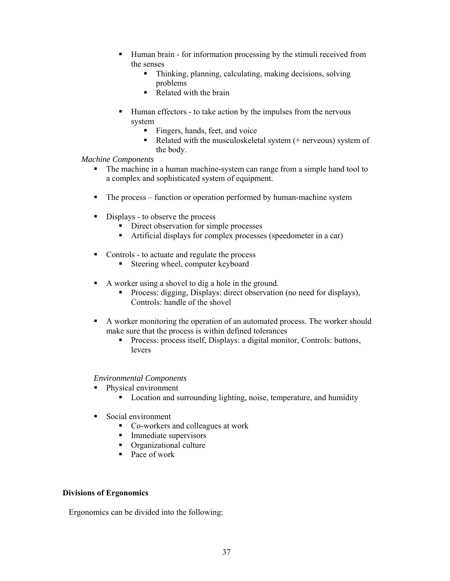- Human brain for information processing by the stimuli received from the senses
	- Thinking, planning, calculating, making decisions, solving problems
	- $\blacksquare$  Related with the brain
- Human effectors to take action by the impulses from the nervous system
	- Fingers, hands, feet, and voice
	- Related with the musculoskeletal system  $(+)$  nerveous) system of the body.

# *Machine Components*

- The machine in a human machine-system can range from a simple hand tool to a complex and sophisticated system of equipment.
- The process function or operation performed by human-machine system
- Displays to observe the process
	- Direct observation for simple processes
	- Artificial displays for complex processes (speedometer in a car)
- Controls to actuate and regulate the process
	- Steering wheel, computer keyboard
- A worker using a shovel to dig a hole in the ground.
	- Process: digging, Displays: direct observation (no need for displays), Controls: handle of the shovel
- A worker monitoring the operation of an automated process. The worker should make sure that the process is within defined tolerances
	- Process: process itself, Displays: a digital monitor, Controls: buttons, levers

# *Environmental Components*

- Physical environment
	- **Location and surrounding lighting, noise, temperature, and humidity**
- Social environment
	- Co-workers and colleagues at work
	- **Immediate supervisors**
	- Organizational culture
	- Pace of work

# **Divisions of Ergonomics**

Ergonomics can be divided into the following: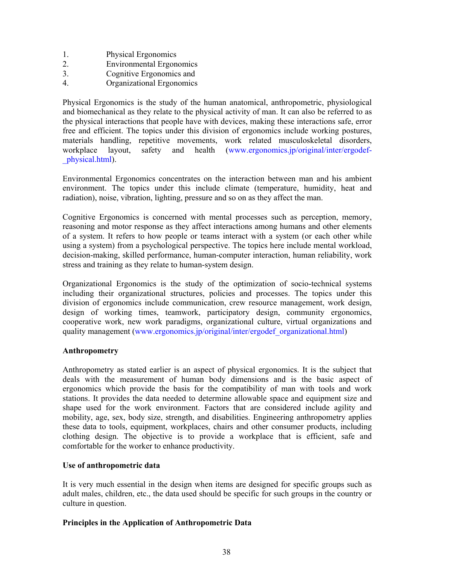- 1. Physical Ergonomics
- 2. Environmental Ergonomics
- 3. Cognitive Ergonomics and
- 4. Organizational Ergonomics

Physical Ergonomics is the study of the human anatomical, anthropometric, physiological and biomechanical as they relate to the physical activity of man. It can also be referred to as the physical interactions that people have with devices, making these interactions safe, error free and efficient. The topics under this division of ergonomics include working postures, materials handling, repetitive movements, work related musculoskeletal disorders, workplace layout, safety and health (www.ergonomics.jp/original/inter/ergodef-\_physical.html).

Environmental Ergonomics concentrates on the interaction between man and his ambient environment. The topics under this include climate (temperature, humidity, heat and radiation), noise, vibration, lighting, pressure and so on as they affect the man.

Cognitive Ergonomics is concerned with mental processes such as perception, memory, reasoning and motor response as they affect interactions among humans and other elements of a system. It refers to how people or teams interact with a system (or each other while using a system) from a psychological perspective. The topics here include mental workload, decision-making, skilled performance, human-computer interaction, human reliability, work stress and training as they relate to human-system design.

Organizational Ergonomics is the study of the optimization of socio-technical systems including their organizational structures, policies and processes. The topics under this division of ergonomics include communication, crew resource management, work design, design of working times, teamwork, participatory design, community ergonomics, cooperative work, new work paradigms, organizational culture, virtual organizations and quality management (www.ergonomics.jp/original/inter/ergodef organizational.html)

# **Anthropometry**

Anthropometry as stated earlier is an aspect of physical ergonomics. It is the subject that deals with the measurement of human body dimensions and is the basic aspect of ergonomics which provide the basis for the compatibility of man with tools and work stations. It provides the data needed to determine allowable space and equipment size and shape used for the work environment. Factors that are considered include agility and mobility, age, sex, body size, strength, and disabilities. Engineering anthropometry applies these data to tools, equipment, workplaces, chairs and other consumer products, including clothing design. The objective is to provide a workplace that is efficient, safe and comfortable for the worker to enhance productivity.

# **Use of anthropometric data**

It is very much essential in the design when items are designed for specific groups such as adult males, children, etc., the data used should be specific for such groups in the country or culture in question.

# **Principles in the Application of Anthropometric Data**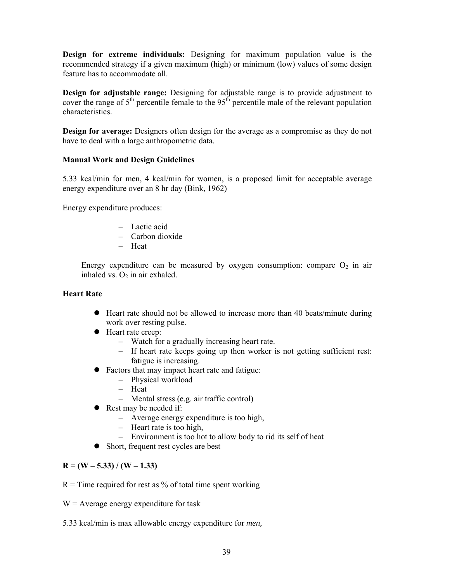**Design for extreme individuals:** Designing for maximum population value is the recommended strategy if a given maximum (high) or minimum (low) values of some design feature has to accommodate all.

**Design for adjustable range:** Designing for adjustable range is to provide adjustment to cover the range of  $5<sup>th</sup>$  percentile female to the  $95<sup>th</sup>$  percentile male of the relevant population characteristics.

**Design for average:** Designers often design for the average as a compromise as they do not have to deal with a large anthropometric data.

# **Manual Work and Design Guidelines**

5.33 kcal/min for men, 4 kcal/min for women, is a proposed limit for acceptable average energy expenditure over an 8 hr day (Bink, 1962)

Energy expenditure produces:

- Lactic acid
- Carbon dioxide
- Heat

Energy expenditure can be measured by oxygen consumption: compare  $O_2$  in air inhaled vs.  $O_2$  in air exhaled.

# **Heart Rate**

- Heart rate should not be allowed to increase more than 40 beats/minute during work over resting pulse.
- Heart rate creep:
	- Watch for a gradually increasing heart rate.
	- If heart rate keeps going up then worker is not getting sufficient rest: fatigue is increasing.
- Factors that may impact heart rate and fatigue:
	- Physical workload
	- Heat
	- Mental stress (e.g. air traffic control)
- Rest may be needed if:
	- Average energy expenditure is too high,
	- Heart rate is too high,
	- Environment is too hot to allow body to rid its self of heat
- Short, frequent rest cycles are best

# $R = (W - 5.33) / (W - 1.33)$

 $R =$ Time required for rest as % of total time spent working

 $W =$  Average energy expenditure for task

5.33 kcal/min is max allowable energy expenditure for *men,*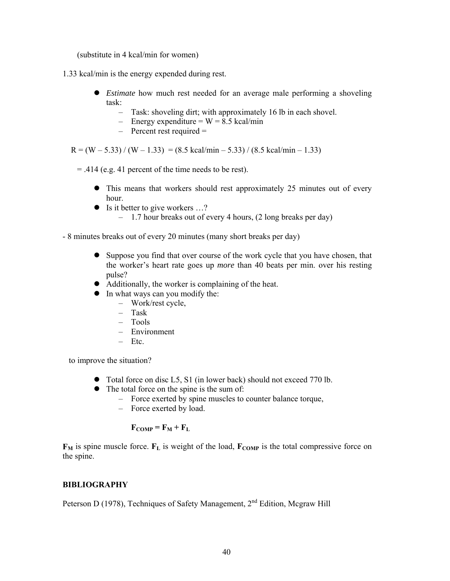(substitute in 4 kcal/min for women)

1.33 kcal/min is the energy expended during rest.

- *Estimate* how much rest needed for an average male performing a shoveling task:
	- Task: shoveling dirt; with approximately 16 lb in each shovel.
	- Energy expenditure =  $W = 8.5$  kcal/min
	- $-$  Percent rest required  $=$

 $R = (W - 5.33) / (W - 1.33) = (8.5 \text{ kcal/min} - 5.33) / (8.5 \text{ kcal/min} - 1.33)$ 

= .414 (e.g. 41 percent of the time needs to be rest).

- This means that workers should rest approximately 25 minutes out of every hour.
- $\bullet$  Is it better to give workers ...?
	- 1.7 hour breaks out of every 4 hours, (2 long breaks per day)

- 8 minutes breaks out of every 20 minutes (many short breaks per day)

- Suppose you find that over course of the work cycle that you have chosen, that the worker's heart rate goes up *more* than 40 beats per min. over his resting pulse?
- $\bullet$  Additionally, the worker is complaining of the heat.
- $\bullet$  In what ways can you modify the:
	- Work/rest cycle,
	- Task
	- Tools
	- Environment
	- Etc.

to improve the situation?

- Total force on disc L5, S1 (in lower back) should not exceed 770 lb.
- $\bullet$  The total force on the spine is the sum of:
	- Force exerted by spine muscles to counter balance torque,
	- Force exerted by load.

 $\mathbf{F}_{\text{COMP}} = \mathbf{F}_{\text{M}} + \mathbf{F}_{\text{L}}$ 

 $F_M$  is spine muscle force.  $F_L$  is weight of the load,  $F_{COMP}$  is the total compressive force on the spine.

# **BIBLIOGRAPHY**

Peterson D (1978), Techniques of Safety Management, 2<sup>nd</sup> Edition, Mcgraw Hill